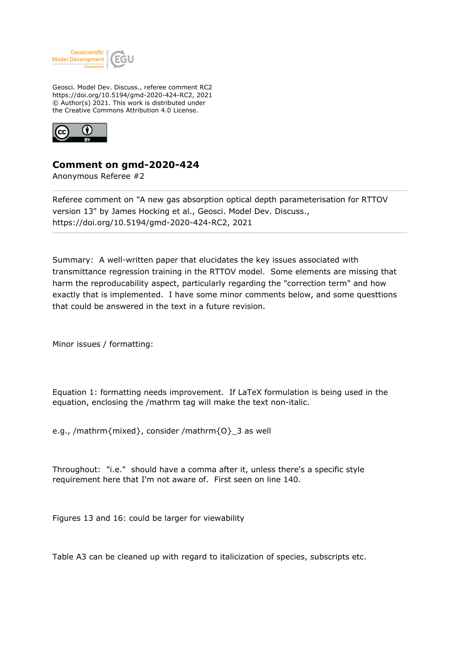

Geosci. Model Dev. Discuss., referee comment RC2 https://doi.org/10.5194/gmd-2020-424-RC2, 2021 © Author(s) 2021. This work is distributed under the Creative Commons Attribution 4.0 License.



## **Comment on gmd-2020-424**

Anonymous Referee #2

Referee comment on "A new gas absorption optical depth parameterisation for RTTOV version 13" by James Hocking et al., Geosci. Model Dev. Discuss., https://doi.org/10.5194/gmd-2020-424-RC2, 2021

Summary: A well-written paper that elucidates the key issues associated with transmittance regression training in the RTTOV model. Some elements are missing that harm the reproducability aspect, particularly regarding the "correction term" and how exactly that is implemented. I have some minor comments below, and some questtions that could be answered in the text in a future revision.

Minor issues / formatting:

Equation 1: formatting needs improvement. If LaTeX formulation is being used in the equation, enclosing the /mathrm tag will make the text non-italic.

e.g., /mathrm{mixed}, consider /mathrm{O}\_3 as well

Throughout: "i.e." should have a comma after it, unless there's a specific style requirement here that I'm not aware of. First seen on line 140.

Figures 13 and 16: could be larger for viewability

Table A3 can be cleaned up with regard to italicization of species, subscripts etc.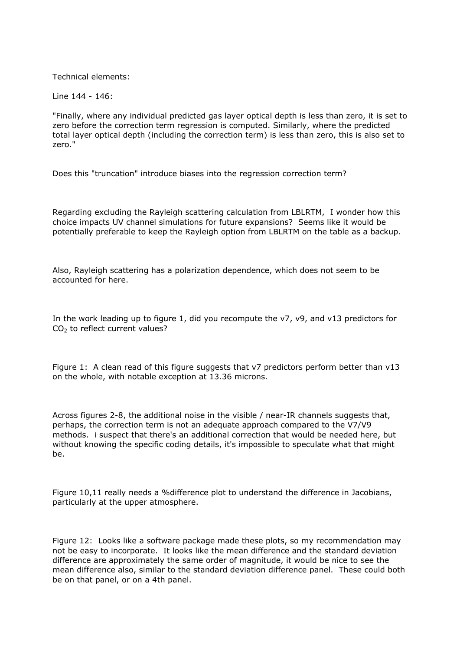Technical elements:

Line 144 - 146:

"Finally, where any individual predicted gas layer optical depth is less than zero, it is set to zero before the correction term regression is computed. Similarly, where the predicted total layer optical depth (including the correction term) is less than zero, this is also set to zero."

Does this "truncation" introduce biases into the regression correction term?

Regarding excluding the Rayleigh scattering calculation from LBLRTM, I wonder how this choice impacts UV channel simulations for future expansions? Seems like it would be potentially preferable to keep the Rayleigh option from LBLRTM on the table as a backup.

Also, Rayleigh scattering has a polarization dependence, which does not seem to be accounted for here.

In the work leading up to figure 1, did you recompute the v7, v9, and v13 predictors for  $CO<sub>2</sub>$  to reflect current values?

Figure 1: A clean read of this figure suggests that v7 predictors perform better than v13 on the whole, with notable exception at 13.36 microns.

Across figures 2-8, the additional noise in the visible / near-IR channels suggests that, perhaps, the correction term is not an adequate approach compared to the V7/V9 methods. i suspect that there's an additional correction that would be needed here, but without knowing the specific coding details, it's impossible to speculate what that might be.

Figure 10,11 really needs a %difference plot to understand the difference in Jacobians, particularly at the upper atmosphere.

Figure 12: Looks like a software package made these plots, so my recommendation may not be easy to incorporate. It looks like the mean difference and the standard deviation difference are approximately the same order of magnitude, it would be nice to see the mean difference also, similar to the standard deviation difference panel. These could both be on that panel, or on a 4th panel.